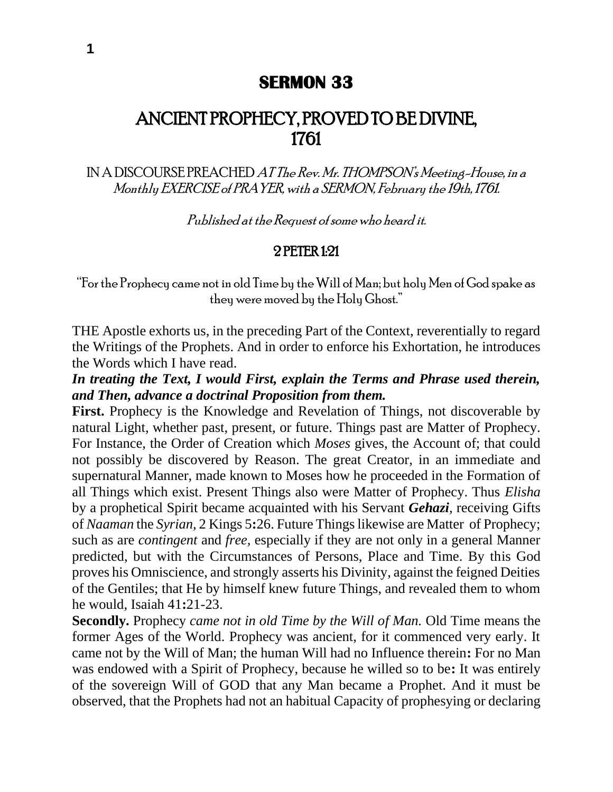# **SERMON 33**

# ANCIENT PROPHECY, PROVED TO BE DIVINE, 1761

IN A DISCOURSE PREACHED AT The Rev. Mr. THOMPSON's Meeting-House, in a Monthly EXERCISE of PRAYER, with a SERMON, February the 19th, 1761.

Published at the Request of some who heard it.

#### 2 PETER 1:21

"For the Prophecy came not in old Time by the Will of Man; but holy Men of God spake as they were moved by the Holy Ghost."

THE Apostle exhorts us, in the preceding Part of the Context, reverentially to regard the Writings of the Prophets. And in order to enforce his Exhortation, he introduces the Words which I have read.

*In treating the Text, I would First, explain the Terms and Phrase used therein, and Then, advance a doctrinal Proposition from them.*

**First.** Prophecy is the Knowledge and Revelation of Things, not discoverable by natural Light, whether past, present, or future. Things past are Matter of Prophecy. For Instance, the Order of Creation which *Moses* gives, the Account of; that could not possibly be discovered by Reason. The great Creator, in an immediate and supernatural Manner, made known to Moses how he proceeded in the Formation of all Things which exist. Present Things also were Matter of Prophecy. Thus *Elisha*  by a prophetical Spirit became acquainted with his Servant *Gehazi,* receiving Gifts of *Naaman* the *Syrian,* 2 Kings 5**:**26. Future Things likewise are Matter of Prophecy; such as are *contingent* and *free,* especially if they are not only in a general Manner predicted, but with the Circumstances of Persons, Place and Time. By this God proves his Omniscience, and strongly asserts his Divinity, against the feigned Deities of the Gentiles; that He by himself knew future Things, and revealed them to whom he would, Isaiah 41**:**21-23.

**Secondly.** Prophecy *came not in old Time by the Will of Man.* Old Time means the former Ages of the World. Prophecy was ancient, for it commenced very early. It came not by the Will of Man; the human Will had no Influence therein**:** For no Man was endowed with a Spirit of Prophecy, because he willed so to be**:** It was entirely of the sovereign Will of GOD that any Man became a Prophet. And it must be observed, that the Prophets had not an habitual Capacity of prophesying or declaring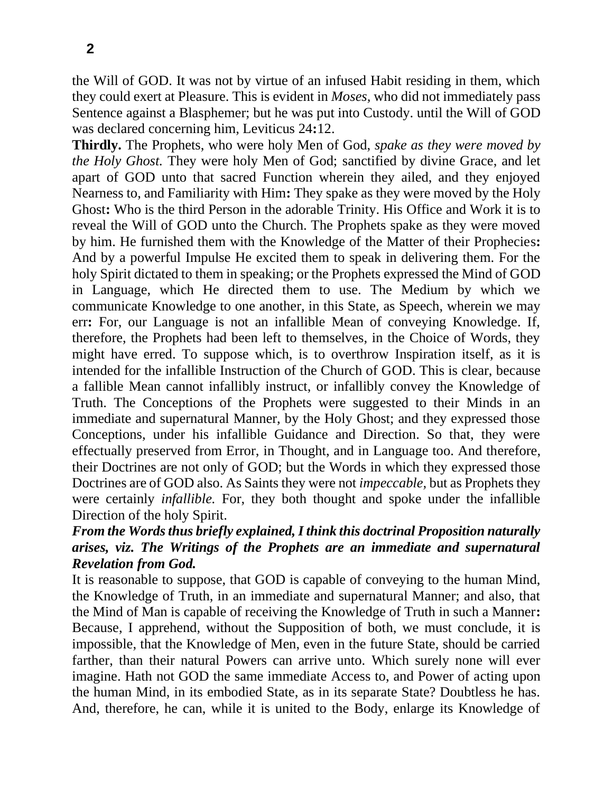**2**

the Will of GOD. It was not by virtue of an infused Habit residing in them, which they could exert at Pleasure. This is evident in *Moses,* who did not immediately pass Sentence against a Blasphemer; but he was put into Custody. until the Will of GOD was declared concerning him, Leviticus 24**:**12.

**Thirdly.** The Prophets, who were holy Men of God, *spake as they were moved by the Holy Ghost*. They were holy Men of God; sanctified by divine Grace, and let apart of GOD unto that sacred Function wherein they ailed, and they enjoyed Nearness to, and Familiarity with Him**:** They spake as they were moved by the Holy Ghost**:** Who is the third Person in the adorable Trinity. His Office and Work it is to reveal the Will of GOD unto the Church. The Prophets spake as they were moved by him. He furnished them with the Knowledge of the Matter of their Prophecies**:**  And by a powerful Impulse He excited them to speak in delivering them. For the holy Spirit dictated to them in speaking; or the Prophets expressed the Mind of GOD in Language, which He directed them to use. The Medium by which we communicate Knowledge to one another, in this State, as Speech, wherein we may err**:** For, our Language is not an infallible Mean of conveying Knowledge. If, therefore, the Prophets had been left to themselves, in the Choice of Words, they might have erred. To suppose which, is to overthrow Inspiration itself, as it is intended for the infallible Instruction of the Church of GOD. This is clear, because a fallible Mean cannot infallibly instruct, or infallibly convey the Knowledge of Truth. The Conceptions of the Prophets were suggested to their Minds in an immediate and supernatural Manner, by the Holy Ghost; and they expressed those Conceptions, under his infallible Guidance and Direction. So that, they were effectually preserved from Error, in Thought, and in Language too. And therefore, their Doctrines are not only of GOD; but the Words in which they expressed those Doctrines are of GOD also. As Saints they were not *impeccable,* but as Prophets they were certainly *infallible.* For, they both thought and spoke under the infallible Direction of the holy Spirit.

# *From the Words thus briefly explained, I think this doctrinal Proposition naturally arises, viz. The Writings of the Prophets are an immediate and supernatural Revelation from God.*

It is reasonable to suppose, that GOD is capable of conveying to the human Mind, the Knowledge of Truth, in an immediate and supernatural Manner; and also, that the Mind of Man is capable of receiving the Knowledge of Truth in such a Manner**:**  Because, I apprehend, without the Supposition of both, we must conclude, it is impossible, that the Knowledge of Men, even in the future State, should be carried farther, than their natural Powers can arrive unto. Which surely none will ever imagine. Hath not GOD the same immediate Access to, and Power of acting upon the human Mind, in its embodied State, as in its separate State? Doubtless he has. And, therefore, he can, while it is united to the Body, enlarge its Knowledge of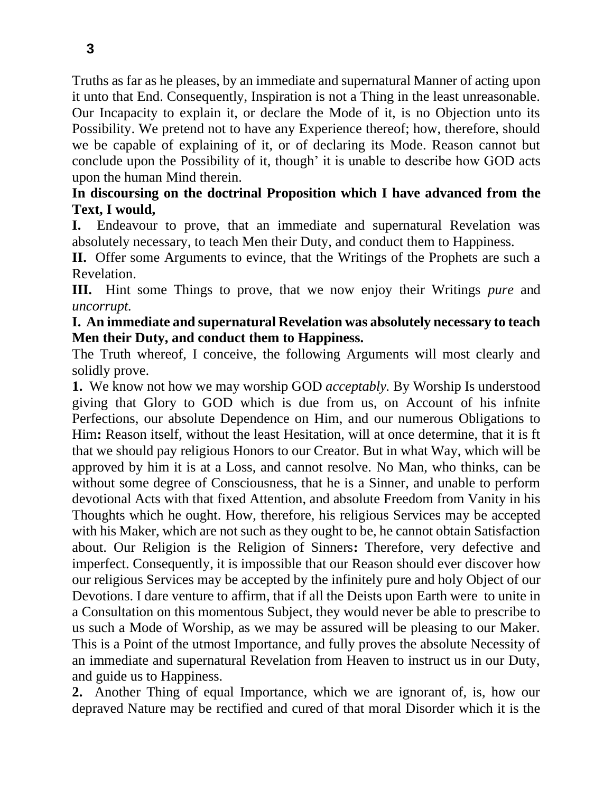Truths as far as he pleases, by an immediate and supernatural Manner of acting upon it unto that End. Consequently, Inspiration is not a Thing in the least unreasonable. Our Incapacity to explain it, or declare the Mode of it, is no Objection unto its Possibility. We pretend not to have any Experience thereof; how, therefore, should we be capable of explaining of it, or of declaring its Mode. Reason cannot but conclude upon the Possibility of it, though' it is unable to describe how GOD acts upon the human Mind therein.

#### **In discoursing on the doctrinal Proposition which I have advanced from the Text, I would,**

**I.** Endeavour to prove, that an immediate and supernatural Revelation was absolutely necessary, to teach Men their Duty, and conduct them to Happiness.

**II.** Offer some Arguments to evince, that the Writings of the Prophets are such a Revelation.

**III.** Hint some Things to prove, that we now enjoy their Writings *pure* and *uncorrupt.*

#### **I. An immediate and supernatural Revelation was absolutely necessary to teach Men their Duty, and conduct them to Happiness.**

The Truth whereof, I conceive, the following Arguments will most clearly and solidly prove.

**1.** We know not how we may worship GOD *acceptably.* By Worship Is understood giving that Glory to GOD which is due from us, on Account of his infnite Perfections, our absolute Dependence on Him, and our numerous Obligations to Him**:** Reason itself, without the least Hesitation, will at once determine, that it is ft that we should pay religious Honors to our Creator. But in what Way, which will be approved by him it is at a Loss, and cannot resolve. No Man, who thinks, can be without some degree of Consciousness, that he is a Sinner, and unable to perform devotional Acts with that fixed Attention, and absolute Freedom from Vanity in his Thoughts which he ought. How, therefore, his religious Services may be accepted with his Maker, which are not such as they ought to be, he cannot obtain Satisfaction about. Our Religion is the Religion of Sinners**:** Therefore, very defective and imperfect. Consequently, it is impossible that our Reason should ever discover how our religious Services may be accepted by the infinitely pure and holy Object of our Devotions. I dare venture to affirm, that if all the Deists upon Earth were to unite in a Consultation on this momentous Subject, they would never be able to prescribe to us such a Mode of Worship, as we may be assured will be pleasing to our Maker. This is a Point of the utmost Importance, and fully proves the absolute Necessity of an immediate and supernatural Revelation from Heaven to instruct us in our Duty, and guide us to Happiness.

**2.** Another Thing of equal Importance, which we are ignorant of, is, how our depraved Nature may be rectified and cured of that moral Disorder which it is the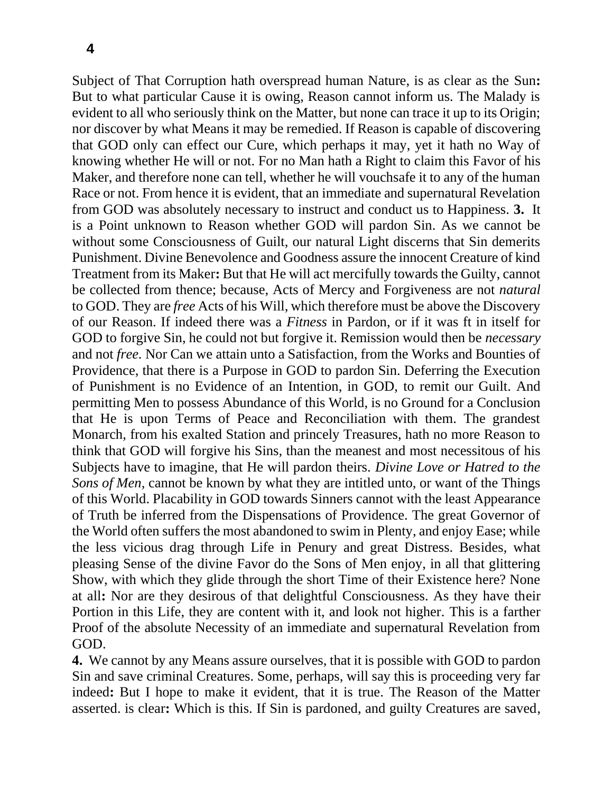Subject of That Corruption hath overspread human Nature, is as clear as the Sun**:**  But to what particular Cause it is owing, Reason cannot inform us. The Malady is evident to all who seriously think on the Matter, but none can trace it up to its Origin; nor discover by what Means it may be remedied. If Reason is capable of discovering that GOD only can effect our Cure, which perhaps it may, yet it hath no Way of knowing whether He will or not. For no Man hath a Right to claim this Favor of his Maker, and therefore none can tell, whether he will vouchsafe it to any of the human Race or not. From hence it is evident, that an immediate and supernatural Revelation from GOD was absolutely necessary to instruct and conduct us to Happiness. **3.** It is a Point unknown to Reason whether GOD will pardon Sin. As we cannot be without some Consciousness of Guilt, our natural Light discerns that Sin demerits Punishment. Divine Benevolence and Goodness assure the innocent Creature of kind Treatment from its Maker**:** But that He will act mercifully towards the Guilty, cannot be collected from thence; because, Acts of Mercy and Forgiveness are not *natural*  to GOD. They are *free* Acts of his Will, which therefore must be above the Discovery of our Reason. If indeed there was a *Fitness* in Pardon, or if it was ft in itself for GOD to forgive Sin, he could not but forgive it. Remission would then be *necessary*  and not *free.* Nor Can we attain unto a Satisfaction, from the Works and Bounties of Providence, that there is a Purpose in GOD to pardon Sin. Deferring the Execution of Punishment is no Evidence of an Intention, in GOD, to remit our Guilt. And permitting Men to possess Abundance of this World, is no Ground for a Conclusion that He is upon Terms of Peace and Reconciliation with them. The grandest Monarch, from his exalted Station and princely Treasures, hath no more Reason to think that GOD will forgive his Sins, than the meanest and most necessitous of his Subjects have to imagine, that He will pardon theirs. *Divine Love or Hatred to the Sons of Men,* cannot be known by what they are intitled unto, or want of the Things of this World. Placability in GOD towards Sinners cannot with the least Appearance of Truth be inferred from the Dispensations of Providence. The great Governor of the World often suffers the most abandoned to swim in Plenty, and enjoy Ease; while the less vicious drag through Life in Penury and great Distress. Besides, what pleasing Sense of the divine Favor do the Sons of Men enjoy, in all that glittering Show, with which they glide through the short Time of their Existence here? None at all**:** Nor are they desirous of that delightful Consciousness. As they have their Portion in this Life, they are content with it, and look not higher. This is a farther Proof of the absolute Necessity of an immediate and supernatural Revelation from GOD.

**4.** We cannot by any Means assure ourselves, that it is possible with GOD to pardon Sin and save criminal Creatures. Some, perhaps, will say this is proceeding very far indeed**:** But I hope to make it evident, that it is true. The Reason of the Matter asserted. is clear**:** Which is this. If Sin is pardoned, and guilty Creatures are saved,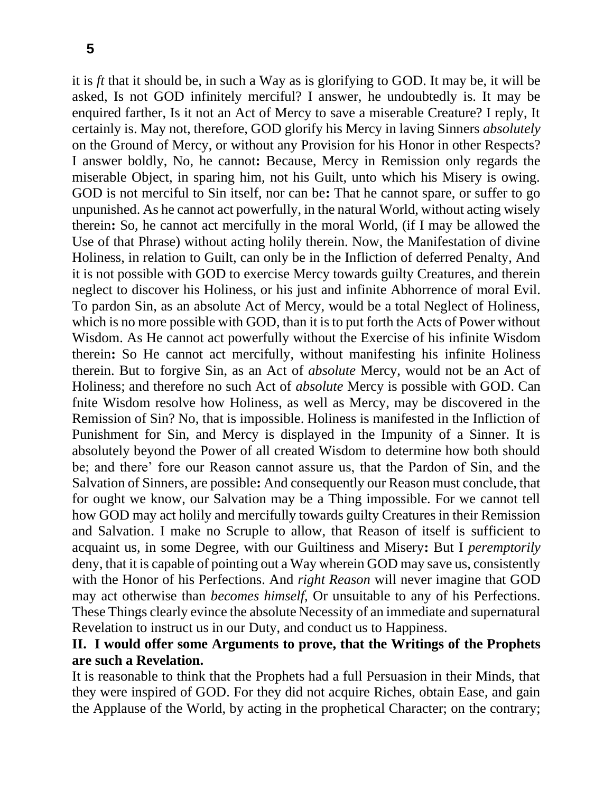it is *ft* that it should be, in such a Way as is glorifying to GOD. It may be, it will be asked, Is not GOD infinitely merciful? I answer, he undoubtedly is. It may be enquired farther, Is it not an Act of Mercy to save a miserable Creature? I reply, It certainly is. May not, therefore, GOD glorify his Mercy in laving Sinners *absolutely*  on the Ground of Mercy, or without any Provision for his Honor in other Respects? I answer boldly, No, he cannot**:** Because, Mercy in Remission only regards the miserable Object, in sparing him, not his Guilt, unto which his Misery is owing. GOD is not merciful to Sin itself, nor can be**:** That he cannot spare, or suffer to go unpunished. As he cannot act powerfully, in the natural World, without acting wisely therein**:** So, he cannot act mercifully in the moral World, (if I may be allowed the Use of that Phrase) without acting holily therein. Now, the Manifestation of divine Holiness, in relation to Guilt, can only be in the Infliction of deferred Penalty, And it is not possible with GOD to exercise Mercy towards guilty Creatures, and therein neglect to discover his Holiness, or his just and infinite Abhorrence of moral Evil. To pardon Sin, as an absolute Act of Mercy, would be a total Neglect of Holiness, which is no more possible with GOD, than it is to put forth the Acts of Power without Wisdom. As He cannot act powerfully without the Exercise of his infinite Wisdom therein**:** So He cannot act mercifully, without manifesting his infinite Holiness therein. But to forgive Sin, as an Act of *absolute* Mercy, would not be an Act of Holiness; and therefore no such Act of *absolute* Mercy is possible with GOD. Can fnite Wisdom resolve how Holiness, as well as Mercy, may be discovered in the Remission of Sin? No, that is impossible. Holiness is manifested in the Infliction of Punishment for Sin, and Mercy is displayed in the Impunity of a Sinner. It is absolutely beyond the Power of all created Wisdom to determine how both should be; and there' fore our Reason cannot assure us, that the Pardon of Sin, and the Salvation of Sinners, are possible**:** And consequently our Reason must conclude, that for ought we know, our Salvation may be a Thing impossible. For we cannot tell how GOD may act holily and mercifully towards guilty Creatures in their Remission and Salvation. I make no Scruple to allow, that Reason of itself is sufficient to acquaint us, in some Degree, with our Guiltiness and Misery**:** But I *peremptorily*  deny, that it is capable of pointing out a Way wherein GOD may save us, consistently with the Honor of his Perfections. And *right Reason* will never imagine that GOD may act otherwise than *becomes himself,* Or unsuitable to any of his Perfections. These Things clearly evince the absolute Necessity of an immediate and supernatural Revelation to instruct us in our Duty, and conduct us to Happiness.

#### **II. I would offer some Arguments to prove, that the Writings of the Prophets are such a Revelation.**

It is reasonable to think that the Prophets had a full Persuasion in their Minds, that they were inspired of GOD. For they did not acquire Riches, obtain Ease, and gain the Applause of the World, by acting in the prophetical Character; on the contrary;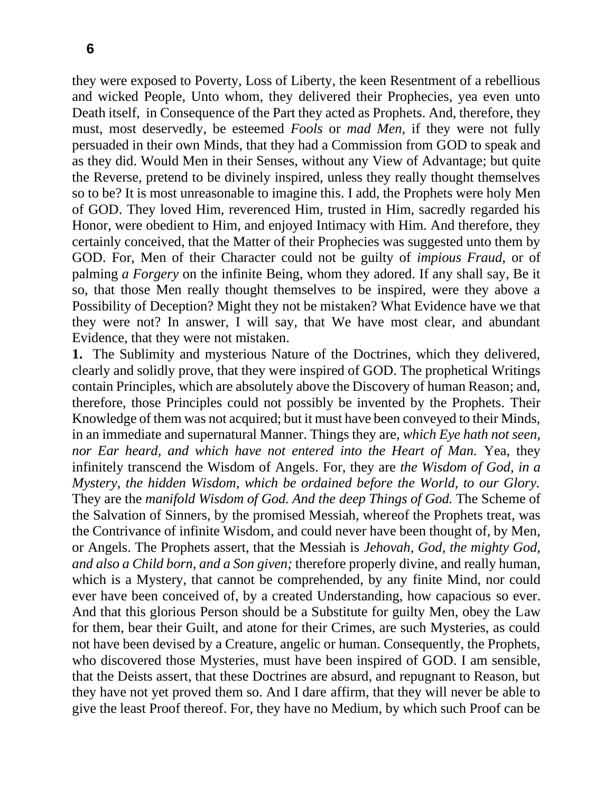they were exposed to Poverty, Loss of Liberty, the keen Resentment of a rebellious and wicked People, Unto whom, they delivered their Prophecies, yea even unto Death itself, in Consequence of the Part they acted as Prophets. And, therefore, they must, most deservedly, be esteemed *Fools* or *mad Men,* if they were not fully persuaded in their own Minds, that they had a Commission from GOD to speak and as they did. Would Men in their Senses, without any View of Advantage; but quite the Reverse, pretend to be divinely inspired, unless they really thought themselves so to be? It is most unreasonable to imagine this. I add, the Prophets were holy Men of GOD. They loved Him, reverenced Him, trusted in Him, sacredly regarded his Honor, were obedient to Him, and enjoyed Intimacy with Him. And therefore, they certainly conceived, that the Matter of their Prophecies was suggested unto them by GOD. For, Men of their Character could not be guilty of *impious Fraud,* or of palming *a Forgery* on the infinite Being, whom they adored. If any shall say, Be it so, that those Men really thought themselves to be inspired, were they above a Possibility of Deception? Might they not be mistaken? What Evidence have we that they were not? In answer, I will say, that We have most clear, and abundant Evidence, that they were not mistaken.

**1.** The Sublimity and mysterious Nature of the Doctrines, which they delivered, clearly and solidly prove, that they were inspired of GOD. The prophetical Writings contain Principles, which are absolutely above the Discovery of human Reason; and, therefore, those Principles could not possibly be invented by the Prophets. Their Knowledge of them was not acquired; but it must have been conveyed to their Minds, in an immediate and supernatural Manner. Things they are, *which Eye hath not seen, nor Ear heard, and which have not entered into the Heart of Man.* Yea, they infinitely transcend the Wisdom of Angels. For, they are *the Wisdom of God, in a Mystery, the hidden Wisdom, which be ordained before the World, to our Glory.*  They are the *manifold Wisdom of God. And the deep Things of God.* The Scheme of the Salvation of Sinners, by the promised Messiah, whereof the Prophets treat, was the Contrivance of infinite Wisdom, and could never have been thought of, by Men, or Angels. The Prophets assert, that the Messiah is *Jehovah, God, the mighty God, and also a Child born, and a Son given;* therefore properly divine, and really human, which is a Mystery, that cannot be comprehended, by any finite Mind, nor could ever have been conceived of, by a created Understanding, how capacious so ever. And that this glorious Person should be a Substitute for guilty Men, obey the Law for them, bear their Guilt, and atone for their Crimes, are such Mysteries, as could not have been devised by a Creature, angelic or human. Consequently, the Prophets, who discovered those Mysteries, must have been inspired of GOD. I am sensible, that the Deists assert, that these Doctrines are absurd, and repugnant to Reason, but they have not yet proved them so. And I dare affirm, that they will never be able to give the least Proof thereof. For, they have no Medium, by which such Proof can be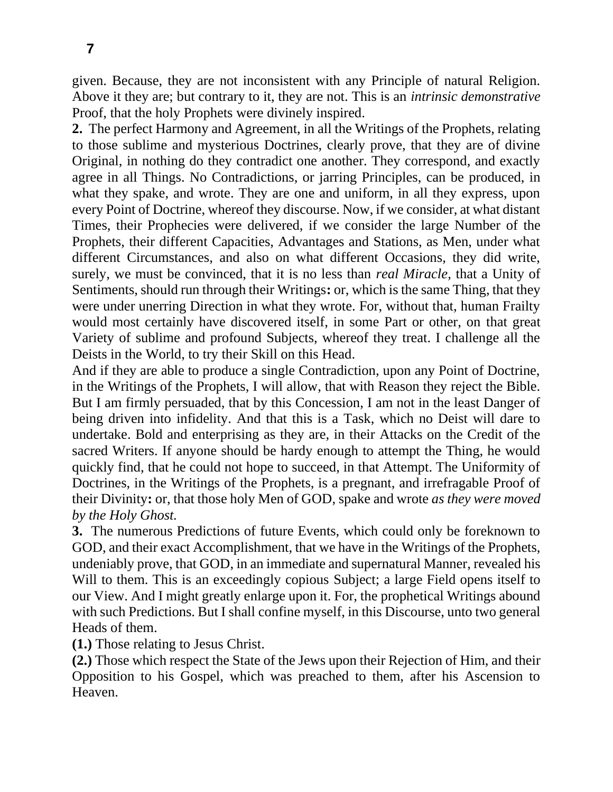given. Because, they are not inconsistent with any Principle of natural Religion. Above it they are; but contrary to it, they are not. This is an *intrinsic demonstrative*  Proof, that the holy Prophets were divinely inspired.

**2.** The perfect Harmony and Agreement, in all the Writings of the Prophets, relating to those sublime and mysterious Doctrines, clearly prove, that they are of divine Original, in nothing do they contradict one another. They correspond, and exactly agree in all Things. No Contradictions, or jarring Principles, can be produced, in what they spake, and wrote. They are one and uniform, in all they express, upon every Point of Doctrine, whereof they discourse. Now, if we consider, at what distant Times, their Prophecies were delivered, if we consider the large Number of the Prophets, their different Capacities, Advantages and Stations, as Men, under what different Circumstances, and also on what different Occasions, they did write, surely, we must be convinced, that it is no less than *real Miracle,* that a Unity of Sentiments, should run through their Writings**:** or, which is the same Thing, that they were under unerring Direction in what they wrote. For, without that, human Frailty would most certainly have discovered itself, in some Part or other, on that great Variety of sublime and profound Subjects, whereof they treat. I challenge all the Deists in the World, to try their Skill on this Head.

And if they are able to produce a single Contradiction, upon any Point of Doctrine, in the Writings of the Prophets, I will allow, that with Reason they reject the Bible. But I am firmly persuaded, that by this Concession, I am not in the least Danger of being driven into infidelity. And that this is a Task, which no Deist will dare to undertake. Bold and enterprising as they are, in their Attacks on the Credit of the sacred Writers. If anyone should be hardy enough to attempt the Thing, he would quickly find, that he could not hope to succeed, in that Attempt. The Uniformity of Doctrines, in the Writings of the Prophets, is a pregnant, and irrefragable Proof of their Divinity**:** or, that those holy Men of GOD, spake and wrote *as they were moved by the Holy Ghost.*

**3.** The numerous Predictions of future Events, which could only be foreknown to GOD, and their exact Accomplishment, that we have in the Writings of the Prophets, undeniably prove, that GOD, in an immediate and supernatural Manner, revealed his Will to them. This is an exceedingly copious Subject; a large Field opens itself to our View. And I might greatly enlarge upon it. For, the prophetical Writings abound with such Predictions. But I shall confine myself, in this Discourse, unto two general Heads of them.

**(1.)** Those relating to Jesus Christ.

**(2.)** Those which respect the State of the Jews upon their Rejection of Him, and their Opposition to his Gospel, which was preached to them, after his Ascension to Heaven.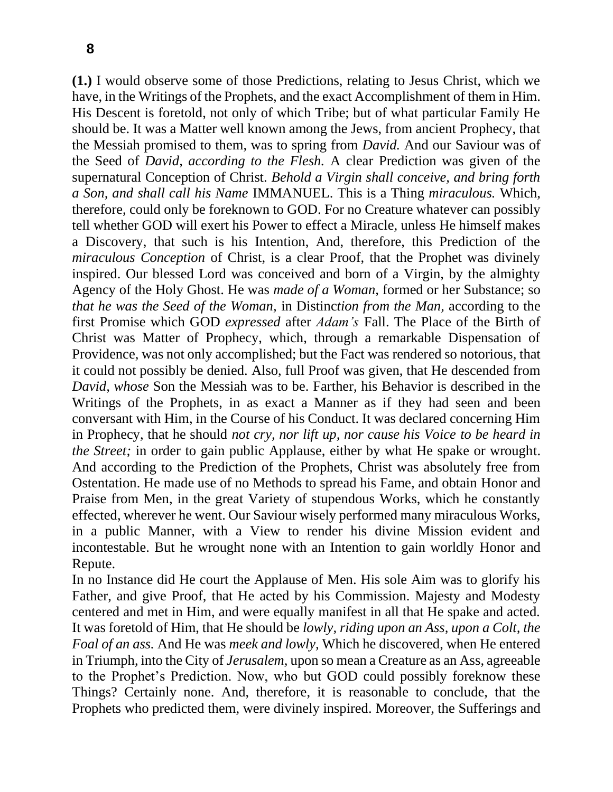**(1.)** I would observe some of those Predictions, relating to Jesus Christ, which we have, in the Writings of the Prophets, and the exact Accomplishment of them in Him. His Descent is foretold, not only of which Tribe; but of what particular Family He should be. It was a Matter well known among the Jews, from ancient Prophecy, that the Messiah promised to them, was to spring from *David.* And our Saviour was of the Seed of *David, according to the Flesh.* A clear Prediction was given of the supernatural Conception of Christ. *Behold a Virgin shall conceive, and bring forth a Son, and shall call his Name* IMMANUEL. This is a Thing *miraculous.* Which, therefore, could only be foreknown to GOD. For no Creature whatever can possibly tell whether GOD will exert his Power to effect a Miracle, unless He himself makes a Discovery, that such is his Intention, And, therefore, this Prediction of the *miraculous Conception* of Christ, is a clear Proof, that the Prophet was divinely inspired. Our blessed Lord was conceived and born of a Virgin, by the almighty Agency of the Holy Ghost. He was *made of a Woman,* formed or her Substance; so *that he was the Seed of the Woman,* in Distinc*tion from the Man,* according to the first Promise which GOD *expressed* after *Adam's* Fall. The Place of the Birth of Christ was Matter of Prophecy, which, through a remarkable Dispensation of Providence, was not only accomplished; but the Fact was rendered so notorious, that it could not possibly be denied. Also, full Proof was given, that He descended from *David, whose* Son the Messiah was to be. Farther, his Behavior is described in the Writings of the Prophets, in as exact a Manner as if they had seen and been conversant with Him, in the Course of his Conduct. It was declared concerning Him in Prophecy, that he should *not cry, nor lift up, nor cause his Voice to be heard in the Street;* in order to gain public Applause, either by what He spake or wrought. And according to the Prediction of the Prophets, Christ was absolutely free from Ostentation. He made use of no Methods to spread his Fame, and obtain Honor and Praise from Men, in the great Variety of stupendous Works, which he constantly effected, wherever he went. Our Saviour wisely performed many miraculous Works, in a public Manner, with a View to render his divine Mission evident and incontestable. But he wrought none with an Intention to gain worldly Honor and Repute.

In no Instance did He court the Applause of Men. His sole Aim was to glorify his Father, and give Proof, that He acted by his Commission. Majesty and Modesty centered and met in Him, and were equally manifest in all that He spake and acted. It was foretold of Him, that He should be *lowly, riding upon an Ass, upon a Colt, the Foal of an ass.* And He was *meek and lowly,* Which he discovered, when He entered in Triumph, into the City of *Jerusalem,* upon so mean a Creature as an Ass, agreeable to the Prophet's Prediction. Now, who but GOD could possibly foreknow these Things? Certainly none. And, therefore, it is reasonable to conclude, that the Prophets who predicted them, were divinely inspired. Moreover, the Sufferings and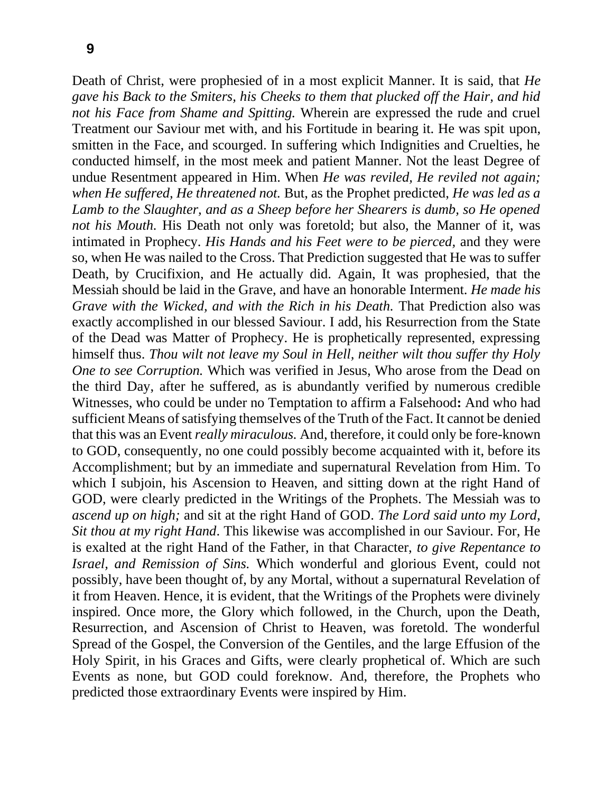Death of Christ, were prophesied of in a most explicit Manner. It is said, that *He gave his Back to the Smiters, his Cheeks to them that plucked off the Hair, and hid not his Face from Shame and Spitting.* Wherein are expressed the rude and cruel Treatment our Saviour met with, and his Fortitude in bearing it. He was spit upon, smitten in the Face, and scourged. In suffering which Indignities and Cruelties, he conducted himself, in the most meek and patient Manner. Not the least Degree of undue Resentment appeared in Him. When *He was reviled, He reviled not again; when He suffered, He threatened not.* But, as the Prophet predicted, *He was led as a Lamb to the Slaughter, and as a Sheep before her Shearers is dumb, so He opened not his Mouth*. His Death not only was foretold; but also, the Manner of it, was intimated in Prophecy. *His Hands and his Feet were to be pierced,* and they were so, when He was nailed to the Cross. That Prediction suggested that He was to suffer Death, by Crucifixion, and He actually did. Again, It was prophesied, that the Messiah should be laid in the Grave, and have an honorable Interment. *He made his Grave with the Wicked, and with the Rich in his Death.* That Prediction also was exactly accomplished in our blessed Saviour. I add, his Resurrection from the State of the Dead was Matter of Prophecy. He is prophetically represented, expressing himself thus. *Thou wilt not leave my Soul in Hell, neither wilt thou suffer thy Holy One to see Corruption.* Which was verified in Jesus, Who arose from the Dead on the third Day, after he suffered, as is abundantly verified by numerous credible Witnesses, who could be under no Temptation to affirm a Falsehood**:** And who had sufficient Means of satisfying themselves of the Truth of the Fact. It cannot be denied that this was an Event *really miraculous.* And, therefore, it could only be fore-known to GOD, consequently, no one could possibly become acquainted with it, before its Accomplishment; but by an immediate and supernatural Revelation from Him. To which I subjoin, his Ascension to Heaven, and sitting down at the right Hand of GOD, were clearly predicted in the Writings of the Prophets. The Messiah was to *ascend up on high;* and sit at the right Hand of GOD. *The Lord said unto my Lord, Sit thou at my right Hand*. This likewise was accomplished in our Saviour. For, He is exalted at the right Hand of the Father, in that Character, *to give Repentance to Israel, and Remission of Sins.* Which wonderful and glorious Event, could not possibly, have been thought of, by any Mortal, without a supernatural Revelation of it from Heaven. Hence, it is evident, that the Writings of the Prophets were divinely inspired. Once more, the Glory which followed, in the Church, upon the Death, Resurrection, and Ascension of Christ to Heaven, was foretold. The wonderful Spread of the Gospel, the Conversion of the Gentiles, and the large Effusion of the Holy Spirit, in his Graces and Gifts, were clearly prophetical of. Which are such Events as none, but GOD could foreknow. And, therefore, the Prophets who predicted those extraordinary Events were inspired by Him.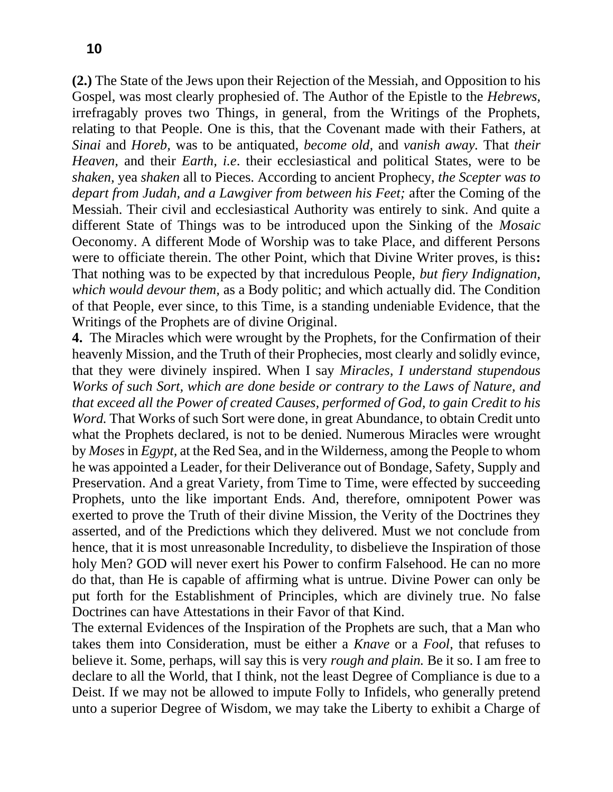**(2.)** The State of the Jews upon their Rejection of the Messiah, and Opposition to his Gospel, was most clearly prophesied of. The Author of the Epistle to the *Hebrews,*  irrefragably proves two Things, in general, from the Writings of the Prophets, relating to that People. One is this, that the Covenant made with their Fathers, at *Sinai* and *Horeb,* was to be antiquated, *become old,* and *vanish away.* That *their Heaven,* and their *Earth, i.e*. their ecclesiastical and political States, were to be *shaken,* yea *shaken* all to Pieces. According to ancient Prophecy, *the Scepter was to depart from Judah, and a Lawgiver from between his Feet;* after the Coming of the Messiah. Their civil and ecclesiastical Authority was entirely to sink. And quite a different State of Things was to be introduced upon the Sinking of the *Mosaic*  Oeconomy. A different Mode of Worship was to take Place, and different Persons were to officiate therein. The other Point, which that Divine Writer proves, is this**:**  That nothing was to be expected by that incredulous People, *but fiery Indignation, which would devour them,* as a Body politic; and which actually did. The Condition of that People, ever since, to this Time, is a standing undeniable Evidence, that the Writings of the Prophets are of divine Original.

**4.** The Miracles which were wrought by the Prophets, for the Confirmation of their heavenly Mission, and the Truth of their Prophecies, most clearly and solidly evince, that they were divinely inspired. When I say *Miracles, I understand stupendous Works of such Sort, which are done beside or contrary to the Laws of Nature, and that exceed all the Power of created Causes, performed of God, to gain Credit to his Word.* That Works of such Sort were done, in great Abundance, to obtain Credit unto what the Prophets declared, is not to be denied. Numerous Miracles were wrought by *Moses* in *Egypt,* at the Red Sea, and in the Wilderness, among the People to whom he was appointed a Leader, for their Deliverance out of Bondage, Safety, Supply and Preservation. And a great Variety, from Time to Time, were effected by succeeding Prophets, unto the like important Ends. And, therefore, omnipotent Power was exerted to prove the Truth of their divine Mission, the Verity of the Doctrines they asserted, and of the Predictions which they delivered. Must we not conclude from hence, that it is most unreasonable Incredulity, to disbelieve the Inspiration of those holy Men? GOD will never exert his Power to confirm Falsehood. He can no more do that, than He is capable of affirming what is untrue. Divine Power can only be put forth for the Establishment of Principles, which are divinely true. No false Doctrines can have Attestations in their Favor of that Kind.

The external Evidences of the Inspiration of the Prophets are such, that a Man who takes them into Consideration, must be either a *Knave* or a *Fool,* that refuses to believe it. Some, perhaps, will say this is very *rough and plain.* Be it so. I am free to declare to all the World, that I think, not the least Degree of Compliance is due to a Deist. If we may not be allowed to impute Folly to Infidels, who generally pretend unto a superior Degree of Wisdom, we may take the Liberty to exhibit a Charge of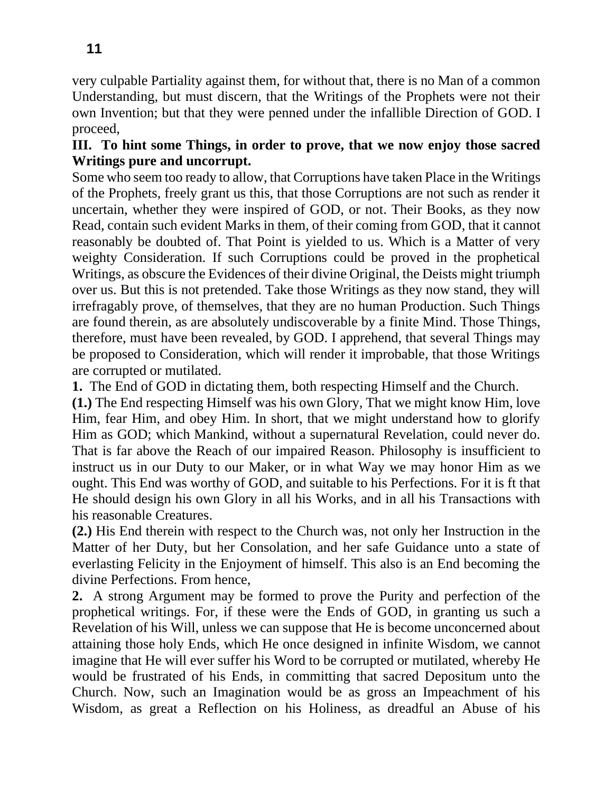very culpable Partiality against them, for without that, there is no Man of a common Understanding, but must discern, that the Writings of the Prophets were not their own Invention; but that they were penned under the infallible Direction of GOD. I proceed,

# **III. To hint some Things, in order to prove, that we now enjoy those sacred Writings pure and uncorrupt.**

Some who seem too ready to allow, that Corruptions have taken Place in the Writings of the Prophets, freely grant us this, that those Corruptions are not such as render it uncertain, whether they were inspired of GOD, or not. Their Books, as they now Read, contain such evident Marks in them, of their coming from GOD, that it cannot reasonably be doubted of. That Point is yielded to us. Which is a Matter of very weighty Consideration. If such Corruptions could be proved in the prophetical Writings, as obscure the Evidences of their divine Original, the Deists might triumph over us. But this is not pretended. Take those Writings as they now stand, they will irrefragably prove, of themselves, that they are no human Production. Such Things are found therein, as are absolutely undiscoverable by a finite Mind. Those Things, therefore, must have been revealed, by GOD. I apprehend, that several Things may be proposed to Consideration, which will render it improbable, that those Writings are corrupted or mutilated.

**1.** The End of GOD in dictating them, both respecting Himself and the Church.

**(1.)** The End respecting Himself was his own Glory, That we might know Him, love Him, fear Him, and obey Him. In short, that we might understand how to glorify Him as GOD; which Mankind, without a supernatural Revelation, could never do. That is far above the Reach of our impaired Reason. Philosophy is insufficient to instruct us in our Duty to our Maker, or in what Way we may honor Him as we ought. This End was worthy of GOD, and suitable to his Perfections. For it is ft that He should design his own Glory in all his Works, and in all his Transactions with his reasonable Creatures.

**(2.)** His End therein with respect to the Church was, not only her Instruction in the Matter of her Duty, but her Consolation, and her safe Guidance unto a state of everlasting Felicity in the Enjoyment of himself. This also is an End becoming the divine Perfections. From hence,

**2.** A strong Argument may be formed to prove the Purity and perfection of the prophetical writings. For, if these were the Ends of GOD, in granting us such a Revelation of his Will, unless we can suppose that He is become unconcerned about attaining those holy Ends, which He once designed in infinite Wisdom, we cannot imagine that He will ever suffer his Word to be corrupted or mutilated, whereby He would be frustrated of his Ends, in committing that sacred Depositum unto the Church. Now, such an Imagination would be as gross an Impeachment of his Wisdom, as great a Reflection on his Holiness, as dreadful an Abuse of his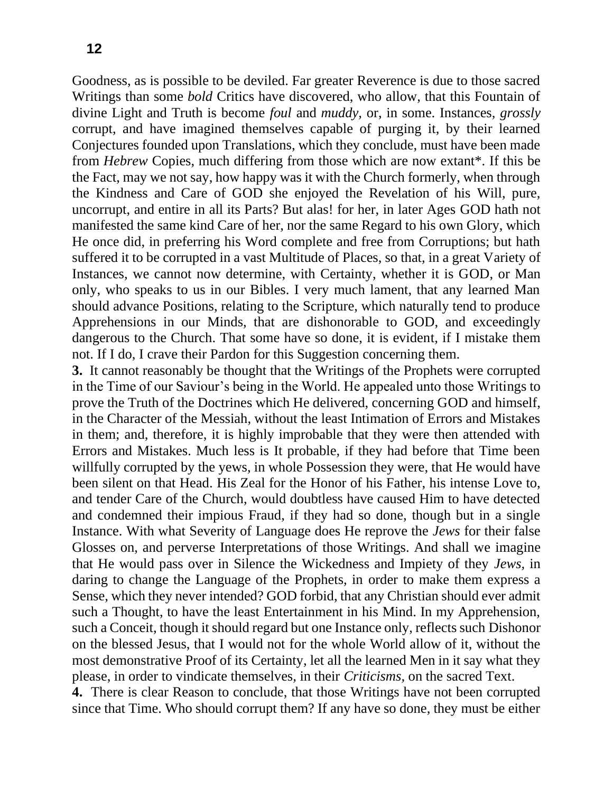Goodness, as is possible to be deviled. Far greater Reverence is due to those sacred Writings than some *bold* Critics have discovered, who allow, that this Fountain of divine Light and Truth is become *foul* and *muddy,* or, in some. Instances, *grossly* corrupt, and have imagined themselves capable of purging it, by their learned Conjectures founded upon Translations, which they conclude, must have been made from *Hebrew* Copies, much differing from those which are now extant\*. If this be the Fact, may we not say, how happy was it with the Church formerly, when through the Kindness and Care of GOD she enjoyed the Revelation of his Will, pure, uncorrupt, and entire in all its Parts? But alas! for her, in later Ages GOD hath not manifested the same kind Care of her, nor the same Regard to his own Glory, which He once did, in preferring his Word complete and free from Corruptions; but hath suffered it to be corrupted in a vast Multitude of Places, so that, in a great Variety of Instances, we cannot now determine, with Certainty, whether it is GOD, or Man only, who speaks to us in our Bibles. I very much lament, that any learned Man should advance Positions, relating to the Scripture, which naturally tend to produce Apprehensions in our Minds, that are dishonorable to GOD, and exceedingly dangerous to the Church. That some have so done, it is evident, if I mistake them not. If I do, I crave their Pardon for this Suggestion concerning them.

**3.** It cannot reasonably be thought that the Writings of the Prophets were corrupted in the Time of our Saviour's being in the World. He appealed unto those Writings to prove the Truth of the Doctrines which He delivered, concerning GOD and himself, in the Character of the Messiah, without the least Intimation of Errors and Mistakes in them; and, therefore, it is highly improbable that they were then attended with Errors and Mistakes. Much less is It probable, if they had before that Time been willfully corrupted by the yews, in whole Possession they were, that He would have been silent on that Head. His Zeal for the Honor of his Father, his intense Love to, and tender Care of the Church, would doubtless have caused Him to have detected and condemned their impious Fraud, if they had so done, though but in a single Instance. With what Severity of Language does He reprove the *Jews* for their false Glosses on, and perverse Interpretations of those Writings. And shall we imagine that He would pass over in Silence the Wickedness and Impiety of they *Jews,* in daring to change the Language of the Prophets, in order to make them express a Sense, which they never intended? GOD forbid, that any Christian should ever admit such a Thought, to have the least Entertainment in his Mind. In my Apprehension, such a Conceit, though it should regard but one Instance only, reflects such Dishonor on the blessed Jesus, that I would not for the whole World allow of it, without the most demonstrative Proof of its Certainty, let all the learned Men in it say what they please, in order to vindicate themselves, in their *Criticisms,* on the sacred Text.

**4.** There is clear Reason to conclude, that those Writings have not been corrupted since that Time. Who should corrupt them? If any have so done, they must be either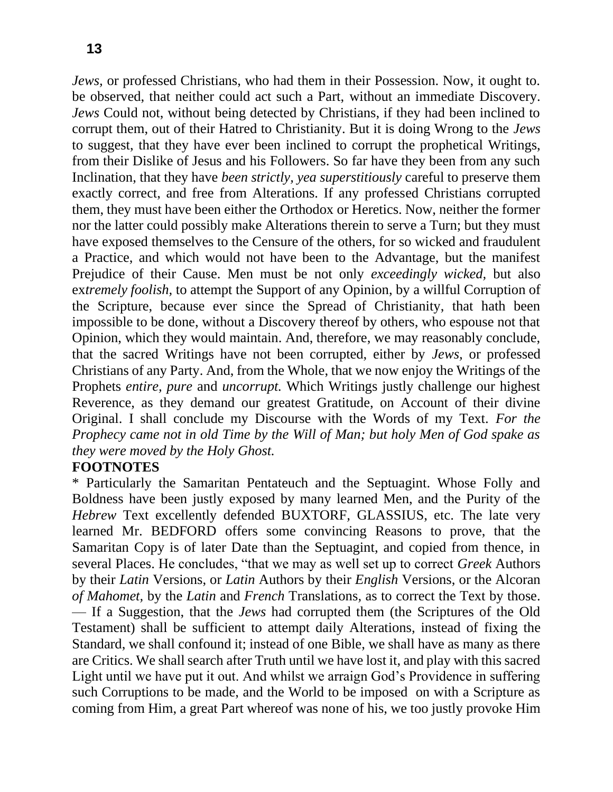*Jews,* or professed Christians, who had them in their Possession. Now, it ought to. be observed, that neither could act such a Part, without an immediate Discovery. *Jews* Could not, without being detected by Christians, if they had been inclined to corrupt them, out of their Hatred to Christianity. But it is doing Wrong to the *Jews*  to suggest, that they have ever been inclined to corrupt the prophetical Writings, from their Dislike of Jesus and his Followers. So far have they been from any such Inclination, that they have *been strictly, yea superstitiously* careful to preserve them exactly correct, and free from Alterations. If any professed Christians corrupted them, they must have been either the Orthodox or Heretics. Now, neither the former nor the latter could possibly make Alterations therein to serve a Turn; but they must have exposed themselves to the Censure of the others, for so wicked and fraudulent a Practice, and which would not have been to the Advantage, but the manifest Prejudice of their Cause. Men must be not only *exceedingly wicked,* but also ex*tremely foolish,* to attempt the Support of any Opinion, by a willful Corruption of the Scripture, because ever since the Spread of Christianity, that hath been impossible to be done, without a Discovery thereof by others, who espouse not that Opinion, which they would maintain. And, therefore, we may reasonably conclude, that the sacred Writings have not been corrupted, either by *Jews,* or professed Christians of any Party. And, from the Whole, that we now enjoy the Writings of the Prophets *entire, pure* and *uncorrupt.* Which Writings justly challenge our highest Reverence, as they demand our greatest Gratitude, on Account of their divine Original. I shall conclude my Discourse with the Words of my Text. *For the Prophecy came not in old Time by the Will of Man; but holy Men of God spake as they were moved by the Holy Ghost.*

#### **FOOTNOTES**

\* Particularly the Samaritan Pentateuch and the Septuagint. Whose Folly and Boldness have been justly exposed by many learned Men, and the Purity of the *Hebrew* Text excellently defended BUXTORF*,* GLASSIUS, etc. The late very learned Mr. BEDFORD offers some convincing Reasons to prove, that the Samaritan Copy is of later Date than the Septuagint, and copied from thence, in several Places. He concludes, "that we may as well set up to correct *Greek* Authors by their *Latin* Versions, or *Latin* Authors by their *English* Versions, or the Alcoran *of Mahomet,* by the *Latin* and *French* Translations*,* as to correct the Text by those. — If a Suggestion, that the *Jews* had corrupted them (the Scriptures of the Old Testament) shall be sufficient to attempt daily Alterations, instead of fixing the Standard, we shall confound it; instead of one Bible, we shall have as many as there are Critics. We shall search after Truth until we have lost it, and play with this sacred Light until we have put it out. And whilst we arraign God's Providence in suffering such Corruptions to be made, and the World to be imposed on with a Scripture as coming from Him, a great Part whereof was none of his, we too justly provoke Him